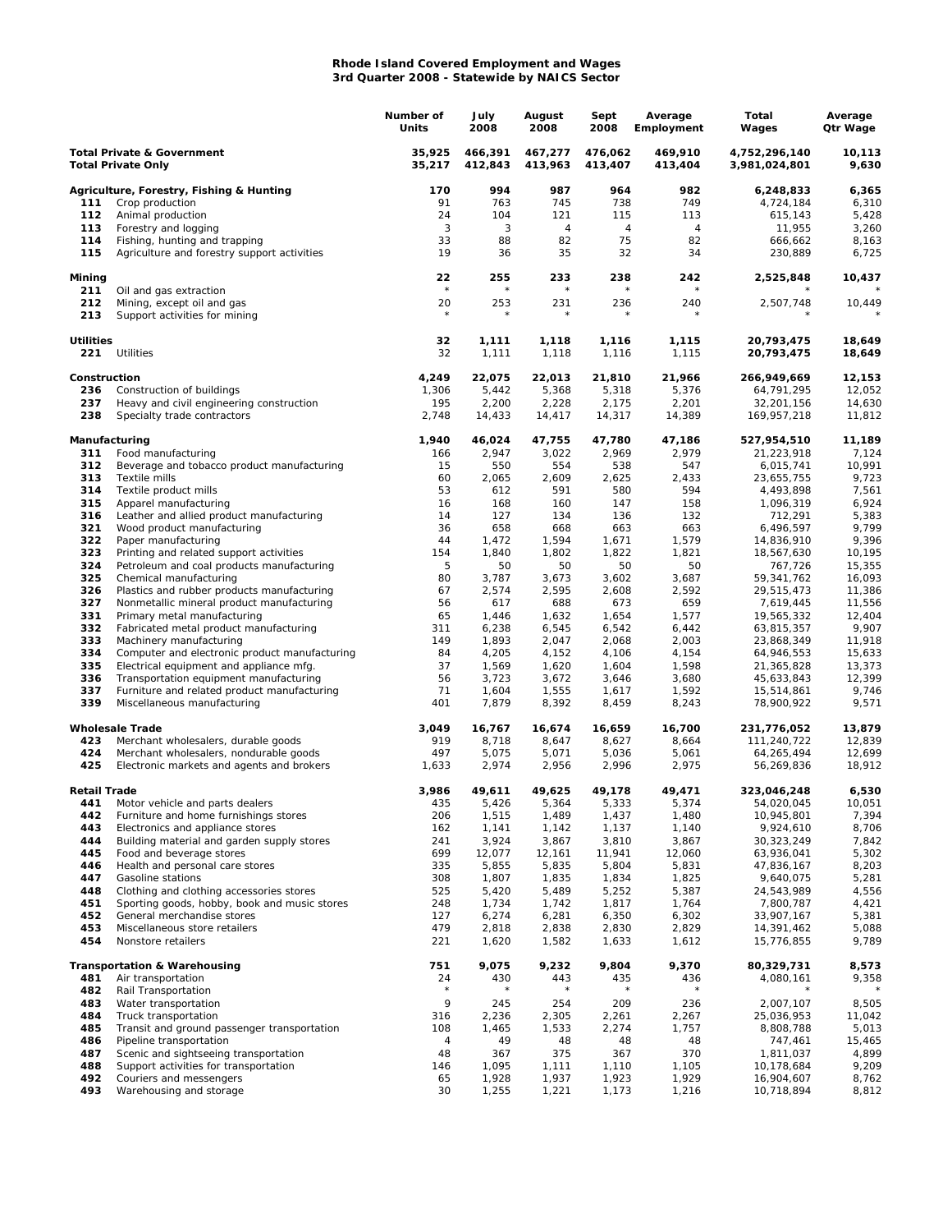## **Rhode Island Covered Employment and Wages 3rd Quarter 2008 - Statewide by NAICS Sector**

|                                                                    |                                                                                     | Number of<br>Units | July<br>2008       | August<br>2008     | Sept<br>2008       | Average<br>Employment | Total<br>Wages                 | Average<br><b>Qtr Wage</b> |
|--------------------------------------------------------------------|-------------------------------------------------------------------------------------|--------------------|--------------------|--------------------|--------------------|-----------------------|--------------------------------|----------------------------|
| <b>Total Private &amp; Government</b><br><b>Total Private Only</b> |                                                                                     | 35,925<br>35,217   | 466,391<br>412,843 | 467,277<br>413,963 | 476,062<br>413,407 | 469,910<br>413,404    | 4,752,296,140<br>3,981,024,801 | 10,113<br>9,630            |
|                                                                    | Agriculture, Forestry, Fishing & Hunting                                            | 170                | 994                | 987                | 964                | 982                   | 6,248,833                      | 6,365                      |
| 111                                                                | Crop production                                                                     | 91                 | 763                | 745                | 738                | 749                   | 4,724,184                      | 6,310                      |
| 112                                                                | Animal production                                                                   | 24                 | 104                | 121                | 115                | 113                   | 615,143                        | 5,428                      |
| 113                                                                | Forestry and logging                                                                | 3                  | 3                  | 4                  | 4                  | $\overline{4}$        | 11,955                         | 3,260                      |
| 114                                                                | Fishing, hunting and trapping                                                       | 33                 | 88                 | 82                 | 75                 | 82                    | 666,662                        | 8,163                      |
| 115                                                                | Agriculture and forestry support activities                                         | 19                 | 36                 | 35                 | 32                 | 34                    | 230,889                        | 6,725                      |
| Mining<br>211                                                      | Oil and gas extraction                                                              | 22                 | 255<br>$\star$     | 233                | 238<br>$\star$     | 242<br>$^{\star}$     | 2,525,848                      | 10,437                     |
| 212<br>213                                                         | Mining, except oil and gas<br>Support activities for mining                         | 20                 | 253                | 231                | 236                | 240                   | 2,507,748                      | 10,449                     |
| <b>Utilities</b><br>221                                            | Utilities                                                                           | 32<br>32           | 1,111<br>1,111     | 1,118<br>1,118     | 1,116<br>1,116     | 1,115<br>1,115        | 20,793,475<br>20,793,475       | 18,649<br>18,649           |
| Construction                                                       |                                                                                     | 4,249              | 22,075             | 22,013             | 21,810             | 21,966                | 266,949,669                    | 12,153                     |
| 236                                                                | Construction of buildings                                                           | 1,306              | 5,442              | 5,368              | 5,318              | 5,376                 | 64,791,295                     | 12,052                     |
| 237                                                                | Heavy and civil engineering construction                                            | 195                | 2,200              | 2,228              | 2,175              | 2,201                 | 32,201,156                     | 14,630                     |
| 238                                                                | Specialty trade contractors                                                         | 2,748              | 14,433             | 14,417             | 14,317             | 14,389                | 169,957,218                    | 11,812                     |
| Manufacturing                                                      |                                                                                     | 1,940              | 46,024             | 47,755             | 47,780             | 47,186                | 527,954,510                    | 11,189                     |
| 311<br>312                                                         | Food manufacturing<br>Beverage and tobacco product manufacturing                    | 166<br>15          | 2,947<br>550       | 3,022<br>554       | 2,969<br>538       | 2,979<br>547          | 21,223,918<br>6,015,741        | 7,124<br>10,991            |
| 313                                                                | Textile mills                                                                       | 60                 | 2,065              | 2,609              | 2,625              | 2,433                 | 23,655,755                     | 9,723                      |
| 314                                                                | Textile product mills                                                               | 53                 | 612                | 591                | 580                | 594                   | 4,493,898                      | 7,561                      |
| 315                                                                | Apparel manufacturing                                                               | 16                 | 168                | 160                | 147                | 158                   | 1,096,319                      | 6,924                      |
| 316                                                                | Leather and allied product manufacturing                                            | 14                 | 127                | 134                | 136                | 132                   | 712,291                        | 5,383                      |
| 321                                                                | Wood product manufacturing                                                          | 36                 | 658                | 668                | 663                | 663                   | 6,496,597                      | 9,799                      |
| 322                                                                | Paper manufacturing                                                                 | 44                 | 1,472              | 1,594              | 1,671              | 1,579                 | 14,836,910                     | 9,396                      |
| 323                                                                | Printing and related support activities                                             | 154                | 1,840              | 1,802              | 1,822              | 1,821                 | 18,567,630                     | 10,195                     |
| 324                                                                | Petroleum and coal products manufacturing                                           | 5                  | 50                 | 50                 | 50                 | 50                    | 767,726                        | 15,355                     |
| 325                                                                | Chemical manufacturing                                                              | 80                 | 3,787              | 3,673              | 3,602              | 3,687                 | 59,341,762                     | 16,093                     |
| 326                                                                | Plastics and rubber products manufacturing                                          | 67                 | 2,574              | 2,595              | 2,608              | 2,592                 | 29,515,473                     | 11,386                     |
| 327<br>331                                                         | Nonmetallic mineral product manufacturing<br>Primary metal manufacturing            | 56<br>65           | 617<br>1,446       | 688<br>1,632       | 673<br>1,654       | 659<br>1,577          | 7,619,445<br>19,565,332        | 11,556<br>12,404           |
| 332                                                                | Fabricated metal product manufacturing                                              | 311                | 6,238              | 6,545              | 6,542              | 6,442                 | 63,815,357                     | 9,907                      |
| 333                                                                | Machinery manufacturing                                                             | 149                | 1,893              | 2,047              | 2,068              | 2,003                 | 23,868,349                     | 11,918                     |
| 334                                                                | Computer and electronic product manufacturing                                       | 84                 | 4,205              | 4,152              | 4,106              | 4,154                 | 64,946,553                     | 15,633                     |
| 335                                                                | Electrical equipment and appliance mfg.                                             | 37                 | 1,569              | 1,620              | 1,604              | 1,598                 | 21,365,828                     | 13,373                     |
| 336                                                                | Transportation equipment manufacturing                                              | 56                 | 3,723              | 3,672              | 3,646              | 3,680                 | 45,633,843                     | 12,399                     |
| 337                                                                | Furniture and related product manufacturing                                         | 71                 | 1,604              | 1,555              | 1,617              | 1,592                 | 15,514,861                     | 9,746                      |
| 339                                                                | Miscellaneous manufacturing                                                         | 401                | 7,879              | 8,392              | 8,459              | 8,243                 | 78,900,922                     | 9,571                      |
|                                                                    | <b>Wholesale Trade</b>                                                              | 3,049              | 16,767             | 16,674             | 16,659             | 16,700                | 231,776,052                    | 13,879                     |
| 423                                                                | Merchant wholesalers, durable goods                                                 | 919                | 8,718              | 8,647              | 8,627              | 8,664                 | 111,240,722                    | 12,839                     |
| 424<br>425                                                         | Merchant wholesalers, nondurable goods<br>Electronic markets and agents and brokers | 497<br>1,633       | 5,075<br>2,974     | 5,071<br>2,956     | 5,036<br>2,996     | 5,061<br>2,975        | 64,265,494<br>56,269,836       | 12,699<br>18,912           |
| Retail Trade                                                       |                                                                                     | 3,986              | 49,611             | 49,625             | 49,178             | 49,471                | 323,046,248                    | 6,530                      |
| 441                                                                | Motor vehicle and parts dealers                                                     | 435                | 5,426              | 5,364              | 5,333              | 5,374                 | 54,020,045                     | 10,051                     |
| 442                                                                | Furniture and home furnishings stores                                               | 206                | 1,515              | 1,489              | 1,437              | 1,480                 | 10,945,801                     | 7,394                      |
| 443                                                                | Electronics and appliance stores                                                    | 162                | 1,141              | 1,142              | 1,137              | 1,140                 | 9,924,610                      | 8,706                      |
| 444                                                                | Building material and garden supply stores                                          | 241                | 3,924              | 3,867              | 3,810              | 3,867                 | 30,323,249                     | 7,842                      |
| 445                                                                | Food and beverage stores                                                            | 699                | 12,077             | 12,161             | 11,941             | 12,060                | 63,936,041                     | 5,302                      |
| 446<br>447                                                         | Health and personal care stores<br>Gasoline stations                                | 335<br>308         | 5,855<br>1,807     | 5,835<br>1,835     | 5,804<br>1,834     | 5,831<br>1,825        | 47,836,167<br>9,640,075        | 8,203                      |
| 448                                                                | Clothing and clothing accessories stores                                            | 525                | 5,420              | 5,489              | 5,252              | 5,387                 | 24,543,989                     | 5,281<br>4,556             |
| 451                                                                | Sporting goods, hobby, book and music stores                                        | 248                | 1,734              | 1,742              | 1,817              | 1,764                 | 7,800,787                      | 4,421                      |
| 452                                                                | General merchandise stores                                                          | 127                | 6,274              | 6,281              | 6,350              | 6,302                 | 33,907,167                     | 5,381                      |
| 453                                                                | Miscellaneous store retailers                                                       | 479                | 2,818              | 2,838              | 2,830              | 2,829                 | 14,391,462                     | 5,088                      |
| 454                                                                | Nonstore retailers                                                                  | 221                | 1,620              | 1,582              | 1,633              | 1,612                 | 15,776,855                     | 9,789                      |
|                                                                    | <b>Transportation &amp; Warehousing</b>                                             | 751                | 9,075              | 9,232              | 9,804              | 9,370                 | 80,329,731                     | 8,573                      |
| 481                                                                | Air transportation                                                                  | 24                 | 430                | 443                | 435                | 436                   | 4,080,161                      | 9,358                      |
| 482                                                                | Rail Transportation                                                                 |                    |                    |                    |                    |                       |                                |                            |
| 483                                                                | Water transportation                                                                | 9                  | 245                | 254                | 209                | 236                   | 2,007,107                      | 8,505                      |
| 484                                                                | Truck transportation                                                                | 316                | 2,236              | 2,305              | 2,261              | 2,267                 | 25,036,953                     | 11,042<br>5,013            |
| 485<br>486                                                         | Transit and ground passenger transportation<br>Pipeline transportation              | 108<br>4           | 1,465<br>49        | 1,533<br>48        | 2,274<br>48        | 1,757<br>48           | 8,808,788<br>747,461           | 15,465                     |
| 487                                                                | Scenic and sightseeing transportation                                               | 48                 | 367                | 375                | 367                | 370                   | 1,811,037                      | 4,899                      |
| 488                                                                | Support activities for transportation                                               | 146                | 1,095              | 1,111              | 1,110              | 1,105                 | 10,178,684                     | 9,209                      |
| 492                                                                | Couriers and messengers                                                             | 65                 | 1,928              | 1,937              | 1,923              | 1,929                 | 16,904,607                     | 8,762                      |
| 493                                                                | Warehousing and storage                                                             | 30                 | 1,255              | 1,221              | 1,173              | 1,216                 | 10,718,894                     | 8,812                      |